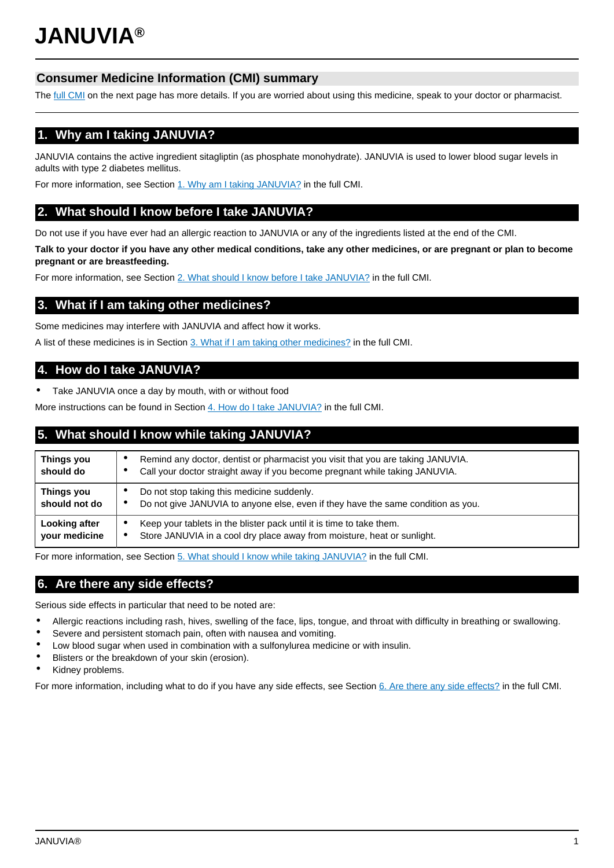# **Consumer Medicine Information (CMI) summary**

The [full CMI](#page-1-0) on the next page has more details. If you are worried about using this medicine, speak to your doctor or pharmacist.

# **1. Why am I taking JANUVIA?**

JANUVIA contains the active ingredient sitagliptin (as phosphate monohydrate). JANUVIA is used to lower blood sugar levels in adults with type 2 diabetes mellitus.

For more information, see Section [1. Why am I taking JANUVIA?](#page-1-1) in the full CMI.

# **2. What should I know before I take JANUVIA?**

Do not use if you have ever had an allergic reaction to JANUVIA or any of the ingredients listed at the end of the CMI.

**Talk to your doctor if you have any other medical conditions, take any other medicines, or are pregnant or plan to become pregnant or are breastfeeding.**

For more information, see Section [2. What should I know before I take JANUVIA?](#page-1-2) in the full CMI.

## **3. What if I am taking other medicines?**

Some medicines may interfere with JANUVIA and affect how it works.

A list of these medicines is in Section [3. What if I am taking other medicines?](#page-1-3) in the full CMI.

# **4. How do I take JANUVIA?**

• Take JANUVIA once a day by mouth, with or without food

More instructions can be found in Section [4. How do I take JANUVIA?](#page-1-4) in the full CMI.

# **5. What should I know while taking JANUVIA?**

| Things you<br>should do        | Remind any doctor, dentist or pharmacist you visit that you are taking JANUVIA.<br>Call your doctor straight away if you become pregnant while taking JANUVIA. |
|--------------------------------|----------------------------------------------------------------------------------------------------------------------------------------------------------------|
| Things you<br>should not do    | Do not stop taking this medicine suddenly.<br>Do not give JANUVIA to anyone else, even if they have the same condition as you.<br>$\bullet$                    |
| Looking after<br>your medicine | Keep your tablets in the blister pack until it is time to take them.<br>Store JANUVIA in a cool dry place away from moisture, heat or sunlight.<br>٠           |

For more information, see Section [5. What should I know while taking JANUVIA?](#page-2-0) in the full CMI.

## **6. Are there any side effects?**

Serious side effects in particular that need to be noted are:

- Allergic reactions including rash, hives, swelling of the face, lips, tongue, and throat with difficulty in breathing or swallowing.
- Severe and persistent stomach pain, often with nausea and vomiting.
- Low blood sugar when used in combination with a sulfonylurea medicine or with insulin.
- Blisters or the breakdown of your skin (erosion).
- Kidney problems.

For more information, including what to do if you have any side effects, see Section [6. Are there any side effects?](#page-2-1) in the full CMI.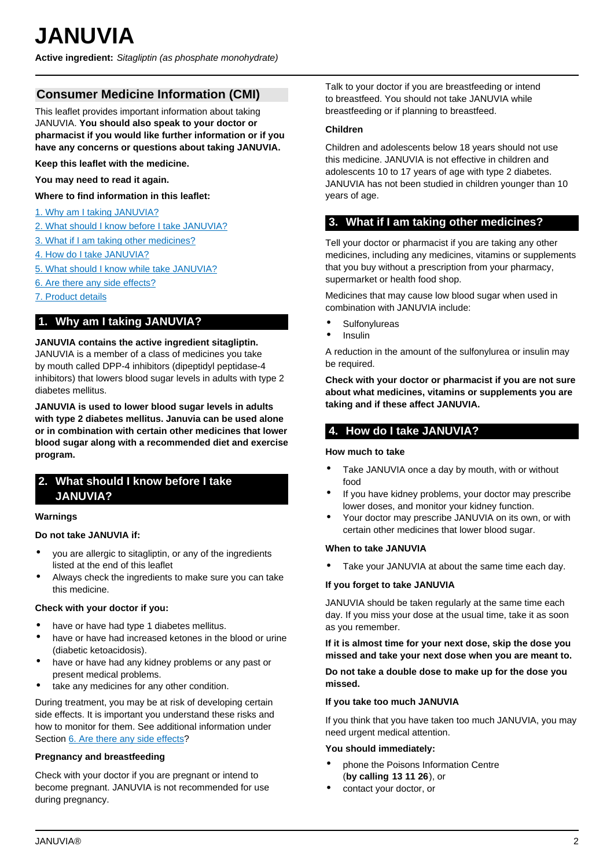## <span id="page-1-0"></span>**Consumer Medicine Information (CMI)**

This leaflet provides important information about taking JANUVIA. **You should also speak to your doctor or pharmacist if you would like further information or if you have any concerns or questions about taking JANUVIA.**

**Keep this leaflet with the medicine.**

**You may need to read it again.**

**Where to find information in this leaflet:**

- [1. Why am I taking JANUVIA?](#page-1-1)
- [2. What should I know before I take JANUVIA?](#page-1-2)
- [3. What if I am taking other medicines?](#page-1-3)
- [4. How do I take JANUVIA?](#page-1-4)
- [5. What should I know while take JANUVIA?](#page-2-0)
- [6. Are there any side effects?](#page-2-1)
- [7. Product details](#page-2-2)

## <span id="page-1-1"></span>**1. Why am I taking JANUVIA?**

#### **JANUVIA contains the active ingredient sitagliptin.**

JANUVIA is a member of a class of medicines you take by mouth called DPP-4 inhibitors (dipeptidyl peptidase-4 inhibitors) that lowers blood sugar levels in adults with type 2 diabetes mellitus.

**JANUVIA is used to lower blood sugar levels in adults with type 2 diabetes mellitus. Januvia can be used alone or in combination with certain other medicines that lower blood sugar along with a recommended diet and exercise program.**

## <span id="page-1-2"></span>**2. What should I know before I take JANUVIA?**

#### **Warnings**

### **Do not take JANUVIA if:**

- you are allergic to sitagliptin, or any of the ingredients listed at the end of this leaflet
- Always check the ingredients to make sure you can take this medicine.

### **Check with your doctor if you:**

- have or have had type 1 diabetes mellitus.
- have or have had increased ketones in the blood or urine (diabetic ketoacidosis).
- have or have had any kidney problems or any past or present medical problems.
- take any medicines for any other condition.

During treatment, you may be at risk of developing certain side effects. It is important you understand these risks and how to monitor for them. See additional information under Section [6. Are there any side effects?](#page-2-1)

#### **Pregnancy and breastfeeding**

Check with your doctor if you are pregnant or intend to become pregnant. JANUVIA is not recommended for use during pregnancy.

Talk to your doctor if you are breastfeeding or intend to breastfeed. You should not take JANUVIA while breastfeeding or if planning to breastfeed.

#### **Children**

Children and adolescents below 18 years should not use this medicine. JANUVIA is not effective in children and adolescents 10 to 17 years of age with type 2 diabetes. JANUVIA has not been studied in children younger than 10 years of age.

## <span id="page-1-3"></span>**3. What if I am taking other medicines?**

Tell your doctor or pharmacist if you are taking any other medicines, including any medicines, vitamins or supplements that you buy without a prescription from your pharmacy, supermarket or health food shop.

Medicines that may cause low blood sugar when used in combination with JANUVIA include:

- **Sulfonylureas**
- **Insulin**

A reduction in the amount of the sulfonylurea or insulin may be required.

**Check with your doctor or pharmacist if you are not sure about what medicines, vitamins or supplements you are taking and if these affect JANUVIA.**

## <span id="page-1-4"></span>**4. How do I take JANUVIA?**

#### **How much to take**

- Take JANUVIA once a day by mouth, with or without food
- If you have kidney problems, your doctor may prescribe lower doses, and monitor your kidney function.
- Your doctor may prescribe JANUVIA on its own, or with certain other medicines that lower blood sugar.

#### **When to take JANUVIA**

Take your JANUVIA at about the same time each day.

### **If you forget to take JANUVIA**

JANUVIA should be taken regularly at the same time each day. If you miss your dose at the usual time, take it as soon as you remember.

**If it is almost time for your next dose, skip the dose you missed and take your next dose when you are meant to.**

**Do not take a double dose to make up for the dose you missed.**

#### **If you take too much JANUVIA**

If you think that you have taken too much JANUVIA, you may need urgent medical attention.

#### **You should immediately:**

- phone the Poisons Information Centre (**by calling 13 11 26**), or
- contact your doctor, or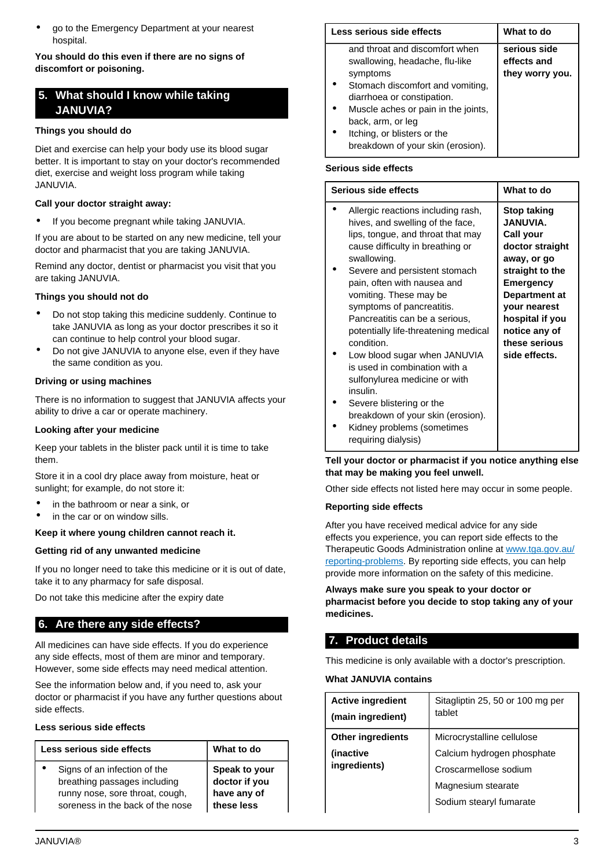• go to the Emergency Department at your nearest hospital.

## **You should do this even if there are no signs of discomfort or poisoning.**

## <span id="page-2-0"></span>**5. What should I know while taking JANUVIA?**

## **Things you should do**

Diet and exercise can help your body use its blood sugar better. It is important to stay on your doctor's recommended diet, exercise and weight loss program while taking JANUVIA.

## **Call your doctor straight away:**

• If you become pregnant while taking JANUVIA.

If you are about to be started on any new medicine, tell your doctor and pharmacist that you are taking JANUVIA.

Remind any doctor, dentist or pharmacist you visit that you are taking JANUVIA.

### **Things you should not do**

- Do not stop taking this medicine suddenly. Continue to take JANUVIA as long as your doctor prescribes it so it can continue to help control your blood sugar.
- Do not give JANUVIA to anyone else, even if they have the same condition as you.

### **Driving or using machines**

There is no information to suggest that JANUVIA affects your ability to drive a car or operate machinery.

### **Looking after your medicine**

Keep your tablets in the blister pack until it is time to take them.

Store it in a cool dry place away from moisture, heat or sunlight; for example, do not store it:

- in the bathroom or near a sink, or
- in the car or on window sills.

### **Keep it where young children cannot reach it.**

### **Getting rid of any unwanted medicine**

If you no longer need to take this medicine or it is out of date, take it to any pharmacy for safe disposal.

Do not take this medicine after the expiry date

## <span id="page-2-1"></span>**6. Are there any side effects?**

All medicines can have side effects. If you do experience any side effects, most of them are minor and temporary. However, some side effects may need medical attention.

See the information below and, if you need to, ask your doctor or pharmacist if you have any further questions about side effects.

## **Less serious side effects**

| Less serious side effects        | What to do    |
|----------------------------------|---------------|
| Signs of an infection of the     | Speak to your |
| breathing passages including     | doctor if you |
| runny nose, sore throat, cough,  | have any of   |
| soreness in the back of the nose | these less    |

| Less serious side effects                                                                                                                                                                                                                                                      | What to do                                     |
|--------------------------------------------------------------------------------------------------------------------------------------------------------------------------------------------------------------------------------------------------------------------------------|------------------------------------------------|
| and throat and discomfort when<br>swallowing, headache, flu-like<br>symptoms<br>Stomach discomfort and vomiting,<br>diarrhoea or constipation.<br>Muscle aches or pain in the joints,<br>back, arm, or leg<br>Itching, or blisters or the<br>breakdown of your skin (erosion). | serious side<br>effects and<br>they worry you. |

### **Serious side effects**

| Serious side effects |                                                                                                                                                                                                                                  | What to do                                                                                                                                        |
|----------------------|----------------------------------------------------------------------------------------------------------------------------------------------------------------------------------------------------------------------------------|---------------------------------------------------------------------------------------------------------------------------------------------------|
|                      | Allergic reactions including rash,<br>hives, and swelling of the face,<br>lips, tongue, and throat that may<br>cause difficulty in breathing or<br>swallowing.                                                                   | <b>Stop taking</b><br><b>JANUVIA.</b><br>Call your<br>doctor straight<br>away, or go                                                              |
|                      | Severe and persistent stomach<br>pain, often with nausea and<br>vomiting. These may be<br>symptoms of pancreatitis.<br>Pancreatitis can be a serious,<br>potentially life-threatening medical<br>condition.                      | straight to the<br><b>Emergency</b><br><b>Department at</b><br>your nearest<br>hospital if you<br>notice any of<br>these serious<br>side effects. |
|                      | Low blood sugar when JANUVIA<br>is used in combination with a<br>sulfonylurea medicine or with<br>insulin.<br>Severe blistering or the<br>breakdown of your skin (erosion).<br>Kidney problems (sometimes<br>requiring dialysis) |                                                                                                                                                   |

#### **Tell your doctor or pharmacist if you notice anything else that may be making you feel unwell.**

Other side effects not listed here may occur in some people.

### **Reporting side effects**

After you have received medical advice for any side effects you experience, you can report side effects to the Therapeutic Goods Administration online at [www.tga.gov.au/](http://www.tga.gov.au/reporting-problems) [reporting-problems](http://www.tga.gov.au/reporting-problems). By reporting side effects, you can help provide more information on the safety of this medicine.

**Always make sure you speak to your doctor or pharmacist before you decide to stop taking any of your medicines.**

# <span id="page-2-2"></span>**7. Product details**

This medicine is only available with a doctor's prescription.

### **What JANUVIA contains**

| <b>Active ingredient</b><br>(main ingredient) | Sitagliptin 25, 50 or 100 mg per<br>tablet |
|-----------------------------------------------|--------------------------------------------|
| <b>Other ingredients</b>                      | Microcrystalline cellulose                 |
| (inactive                                     | Calcium hydrogen phosphate                 |
| ingredients)                                  | Croscarmellose sodium                      |
|                                               | Magnesium stearate                         |
|                                               | Sodium stearyl fumarate                    |